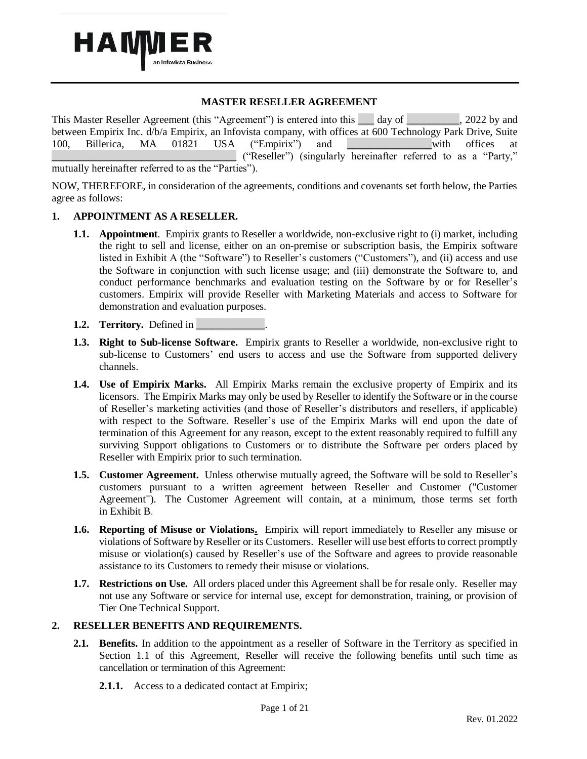

## **MASTER RESELLER AGREEMENT**

This Master Reseller Agreement (this "Agreement") is entered into this day of . 2022 by and between Empirix Inc. d/b/a Empirix, an Infovista company, with offices at 600 Technology Park Drive, Suite 100. Billerica. MA 01821 USA ("Empirix") and with offices at 100. Billerica, MA 01821 USA ("Empirix") and **the unitary with offices at** \_\_\_\_\_\_\_\_\_\_\_\_\_\_\_\_\_\_\_\_\_\_\_\_\_\_\_\_\_\_\_\_\_\_\_ ("Reseller") (singularly hereinafter referred to as a "Party," mutually hereinafter referred to as the "Parties").

NOW, THEREFORE, in consideration of the agreements, conditions and covenants set forth below, the Parties agree as follows:

#### **1. APPOINTMENT AS A RESELLER.**

- **1.1. Appointment**. Empirix grants to Reseller a worldwide, non-exclusive right to (i) market, including the right to sell and license, either on an on-premise or subscription basis, the Empirix software listed in Exhibit A (the "Software") to Reseller's customers ("Customers"), and (ii) access and use the Software in conjunction with such license usage; and (iii) demonstrate the Software to, and conduct performance benchmarks and evaluation testing on the Software by or for Reseller's customers. Empirix will provide Reseller with Marketing Materials and access to Software for demonstration and evaluation purposes.
- **1.2. Territory.** Defined in
- **1.3. Right to Sub-license Software.** Empirix grants to Reseller a worldwide, non-exclusive right to sub-license to Customers' end users to access and use the Software from supported delivery channels.
- **1.4. Use of Empirix Marks.** All Empirix Marks remain the exclusive property of Empirix and its licensors. The Empirix Marks may only be used by Reseller to identify the Software or in the course of Reseller's marketing activities (and those of Reseller's distributors and resellers, if applicable) with respect to the Software. Reseller's use of the Empirix Marks will end upon the date of termination of this Agreement for any reason, except to the extent reasonably required to fulfill any surviving Support obligations to Customers or to distribute the Software per orders placed by Reseller with Empirix prior to such termination.
- **1.5. Customer Agreement.** Unless otherwise mutually agreed, the Software will be sold to Reseller's customers pursuant to a written agreement between Reseller and Customer ("Customer Agreement"). The Customer Agreement will contain, at a minimum, those terms set forth in Exhibit B.
- **1.6. Reporting of Misuse or Violations.** Empirix will report immediately to Reseller any misuse or violations of Software by Reseller or its Customers. Reseller will use best efforts to correct promptly misuse or violation(s) caused by Reseller's use of the Software and agrees to provide reasonable assistance to its Customers to remedy their misuse or violations.
- **1.7. Restrictions on Use.** All orders placed under this Agreement shall be for resale only. Reseller may not use any Software or service for internal use, except for demonstration, training, or provision of Tier One Technical Support.

#### **2. RESELLER BENEFITS AND REQUIREMENTS.**

- **2.1. Benefits.** In addition to the appointment as a reseller of Software in the Territory as specified in Section 1.1 of this Agreement, Reseller will receive the following benefits until such time as cancellation or termination of this Agreement:
	- **2.1.1.** Access to a dedicated contact at Empirix;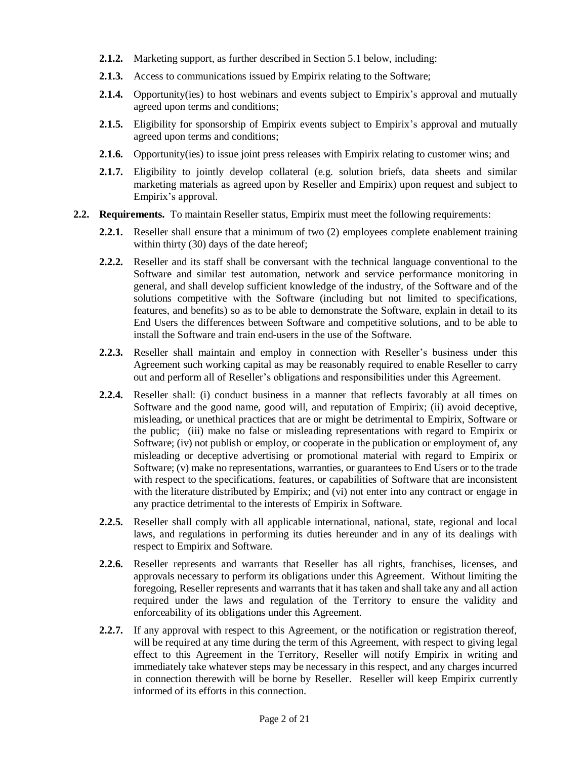- **2.1.2.** Marketing support, as further described in Section 5.1 below, including:
- **2.1.3.** Access to communications issued by Empirix relating to the Software;
- 2.1.4. Opportunity(ies) to host webinars and events subject to Empirix's approval and mutually agreed upon terms and conditions;
- **2.1.5.** Eligibility for sponsorship of Empirix events subject to Empirix's approval and mutually agreed upon terms and conditions;
- **2.1.6.** Opportunity(ies) to issue joint press releases with Empirix relating to customer wins; and
- **2.1.7.** Eligibility to jointly develop collateral (e.g. solution briefs, data sheets and similar marketing materials as agreed upon by Reseller and Empirix) upon request and subject to Empirix's approval.
- **2.2. Requirements.** To maintain Reseller status, Empirix must meet the following requirements:
	- **2.2.1.** Reseller shall ensure that a minimum of two (2) employees complete enablement training within thirty (30) days of the date hereof;
	- **2.2.2.** Reseller and its staff shall be conversant with the technical language conventional to the Software and similar test automation, network and service performance monitoring in general, and shall develop sufficient knowledge of the industry, of the Software and of the solutions competitive with the Software (including but not limited to specifications, features, and benefits) so as to be able to demonstrate the Software, explain in detail to its End Users the differences between Software and competitive solutions, and to be able to install the Software and train end-users in the use of the Software.
	- **2.2.3.** Reseller shall maintain and employ in connection with Reseller's business under this Agreement such working capital as may be reasonably required to enable Reseller to carry out and perform all of Reseller's obligations and responsibilities under this Agreement.
	- **2.2.4.** Reseller shall: (i) conduct business in a manner that reflects favorably at all times on Software and the good name, good will, and reputation of Empirix; (ii) avoid deceptive, misleading, or unethical practices that are or might be detrimental to Empirix, Software or the public; (iii) make no false or misleading representations with regard to Empirix or Software; (iv) not publish or employ, or cooperate in the publication or employment of, any misleading or deceptive advertising or promotional material with regard to Empirix or Software; (v) make no representations, warranties, or guarantees to End Users or to the trade with respect to the specifications, features, or capabilities of Software that are inconsistent with the literature distributed by Empirix; and (vi) not enter into any contract or engage in any practice detrimental to the interests of Empirix in Software.
	- **2.2.5.** Reseller shall comply with all applicable international, national, state, regional and local laws, and regulations in performing its duties hereunder and in any of its dealings with respect to Empirix and Software.
	- **2.2.6.** Reseller represents and warrants that Reseller has all rights, franchises, licenses, and approvals necessary to perform its obligations under this Agreement. Without limiting the foregoing, Reseller represents and warrants that it has taken and shall take any and all action required under the laws and regulation of the Territory to ensure the validity and enforceability of its obligations under this Agreement.
	- **2.2.7.** If any approval with respect to this Agreement, or the notification or registration thereof, will be required at any time during the term of this Agreement, with respect to giving legal effect to this Agreement in the Territory, Reseller will notify Empirix in writing and immediately take whatever steps may be necessary in this respect, and any charges incurred in connection therewith will be borne by Reseller. Reseller will keep Empirix currently informed of its efforts in this connection.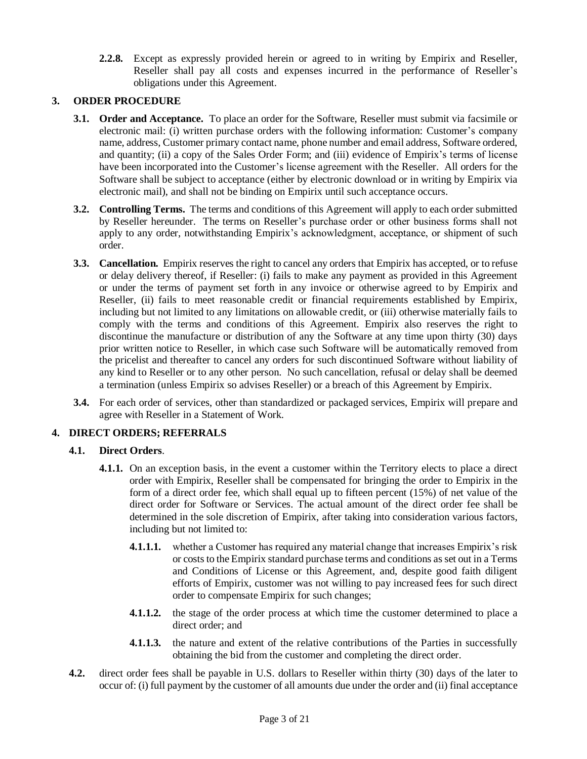**2.2.8.** Except as expressly provided herein or agreed to in writing by Empirix and Reseller, Reseller shall pay all costs and expenses incurred in the performance of Reseller's obligations under this Agreement.

## **3. ORDER PROCEDURE**

- **3.1. Order and Acceptance.** To place an order for the Software, Reseller must submit via facsimile or electronic mail: (i) written purchase orders with the following information: Customer's company name, address, Customer primary contact name, phone number and email address, Software ordered, and quantity; (ii) a copy of the Sales Order Form; and (iii) evidence of Empirix's terms of license have been incorporated into the Customer's license agreement with the Reseller. All orders for the Software shall be subject to acceptance (either by electronic download or in writing by Empirix via electronic mail), and shall not be binding on Empirix until such acceptance occurs.
- **3.2. Controlling Terms.** The terms and conditions of this Agreement will apply to each order submitted by Reseller hereunder. The terms on Reseller's purchase order or other business forms shall not apply to any order, notwithstanding Empirix's acknowledgment, acceptance, or shipment of such order.
- **3.3. Cancellation.** Empirix reserves the right to cancel any orders that Empirix has accepted, or to refuse or delay delivery thereof, if Reseller: (i) fails to make any payment as provided in this Agreement or under the terms of payment set forth in any invoice or otherwise agreed to by Empirix and Reseller, (ii) fails to meet reasonable credit or financial requirements established by Empirix, including but not limited to any limitations on allowable credit, or (iii) otherwise materially fails to comply with the terms and conditions of this Agreement. Empirix also reserves the right to discontinue the manufacture or distribution of any the Software at any time upon thirty (30) days prior written notice to Reseller, in which case such Software will be automatically removed from the pricelist and thereafter to cancel any orders for such discontinued Software without liability of any kind to Reseller or to any other person. No such cancellation, refusal or delay shall be deemed a termination (unless Empirix so advises Reseller) or a breach of this Agreement by Empirix.
- **3.4.** For each order of services, other than standardized or packaged services, Empirix will prepare and agree with Reseller in a Statement of Work.

## **4. DIRECT ORDERS; REFERRALS**

## **4.1. Direct Orders**.

- **4.1.1.** On an exception basis, in the event a customer within the Territory elects to place a direct order with Empirix, Reseller shall be compensated for bringing the order to Empirix in the form of a direct order fee, which shall equal up to fifteen percent (15%) of net value of the direct order for Software or Services. The actual amount of the direct order fee shall be determined in the sole discretion of Empirix, after taking into consideration various factors, including but not limited to:
	- **4.1.1.1.** whether a Customer has required any material change that increases Empirix's risk or costs to the Empirix standard purchase terms and conditions as set out in a Terms and Conditions of License or this Agreement, and, despite good faith diligent efforts of Empirix, customer was not willing to pay increased fees for such direct order to compensate Empirix for such changes;
	- **4.1.1.2.** the stage of the order process at which time the customer determined to place a direct order; and
	- **4.1.1.3.** the nature and extent of the relative contributions of the Parties in successfully obtaining the bid from the customer and completing the direct order.
- **4.2.** direct order fees shall be payable in U.S. dollars to Reseller within thirty (30) days of the later to occur of: (i) full payment by the customer of all amounts due under the order and (ii) final acceptance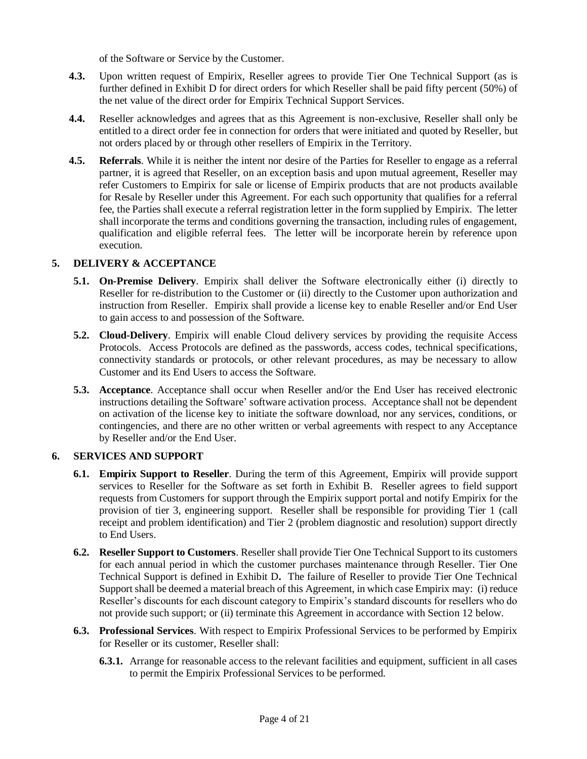of the Software or Service by the Customer.

- **4.3.** Upon written request of Empirix, Reseller agrees to provide Tier One Technical Support (as is further defined in Exhibit D for direct orders for which Reseller shall be paid fifty percent (50%) of the net value of the direct order for Empirix Technical Support Services.
- **4.4.** Reseller acknowledges and agrees that as this Agreement is non-exclusive, Reseller shall only be entitled to a direct order fee in connection for orders that were initiated and quoted by Reseller, but not orders placed by or through other resellers of Empirix in the Territory.
- **4.5. Referrals**. While it is neither the intent nor desire of the Parties for Reseller to engage as a referral partner, it is agreed that Reseller, on an exception basis and upon mutual agreement, Reseller may refer Customers to Empirix for sale or license of Empirix products that are not products available for Resale by Reseller under this Agreement. For each such opportunity that qualifies for a referral fee, the Parties shall execute a referral registration letter in the form supplied by Empirix. The letter shall incorporate the terms and conditions governing the transaction, including rules of engagement, qualification and eligible referral fees. The letter will be incorporate herein by reference upon execution.

## **5. DELIVERY & ACCEPTANCE**

- **5.1. On-Premise Delivery**. Empirix shall deliver the Software electronically either (i) directly to Reseller for re-distribution to the Customer or (ii) directly to the Customer upon authorization and instruction from Reseller. Empirix shall provide a license key to enable Reseller and/or End User to gain access to and possession of the Software.
- **5.2. Cloud-Delivery**. Empirix will enable Cloud delivery services by providing the requisite Access Protocols. Access Protocols are defined as the passwords, access codes, technical specifications, connectivity standards or protocols, or other relevant procedures, as may be necessary to allow Customer and its End Users to access the Software.
- **5.3. Acceptance**. Acceptance shall occur when Reseller and/or the End User has received electronic instructions detailing the Software' software activation process. Acceptance shall not be dependent on activation of the license key to initiate the software download, nor any services, conditions, or contingencies, and there are no other written or verbal agreements with respect to any Acceptance by Reseller and/or the End User.

## **6. SERVICES AND SUPPORT**

- **6.1. Empirix Support to Reseller**. During the term of this Agreement, Empirix will provide support services to Reseller for the Software as set forth in Exhibit B. Reseller agrees to field support requests from Customers for support through the Empirix support portal and notify Empirix for the provision of tier 3, engineering support. Reseller shall be responsible for providing Tier 1 (call receipt and problem identification) and Tier 2 (problem diagnostic and resolution) support directly to End Users.
- **6.2. Reseller Support to Customers**. Reseller shall provide Tier One Technical Support to its customers for each annual period in which the customer purchases maintenance through Reseller. Tier One Technical Support is defined in Exhibit D**.** The failure of Reseller to provide Tier One Technical Support shall be deemed a material breach of this Agreement, in which case Empirix may: (i) reduce Reseller's discounts for each discount category to Empirix's standard discounts for resellers who do not provide such support; or (ii) terminate this Agreement in accordance with Section 12 below.
- **6.3. Professional Services**. With respect to Empirix Professional Services to be performed by Empirix for Reseller or its customer, Reseller shall:
	- **6.3.1.** Arrange for reasonable access to the relevant facilities and equipment, sufficient in all cases to permit the Empirix Professional Services to be performed.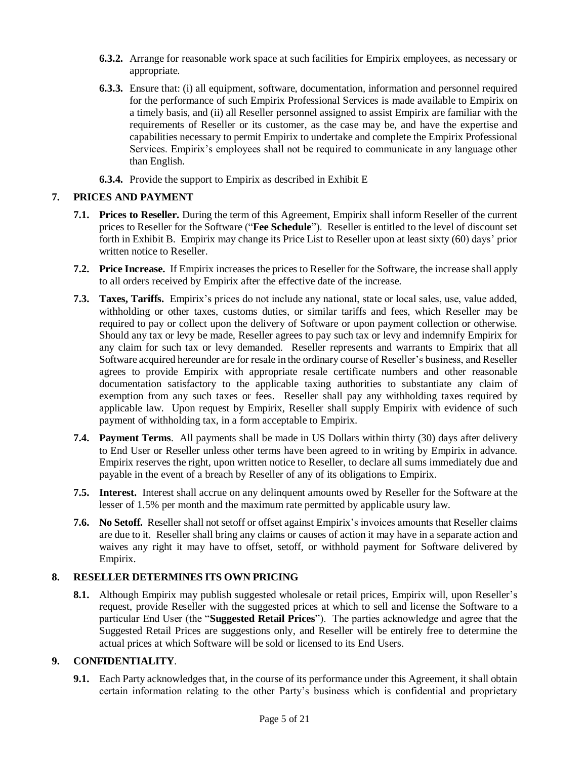- **6.3.2.** Arrange for reasonable work space at such facilities for Empirix employees, as necessary or appropriate.
- **6.3.3.** Ensure that: (i) all equipment, software, documentation, information and personnel required for the performance of such Empirix Professional Services is made available to Empirix on a timely basis, and (ii) all Reseller personnel assigned to assist Empirix are familiar with the requirements of Reseller or its customer, as the case may be, and have the expertise and capabilities necessary to permit Empirix to undertake and complete the Empirix Professional Services. Empirix's employees shall not be required to communicate in any language other than English.
- **6.3.4.** Provide the support to Empirix as described in Exhibit E

## **7. PRICES AND PAYMENT**

- **7.1. Prices to Reseller.** During the term of this Agreement, Empirix shall inform Reseller of the current prices to Reseller for the Software ("**Fee Schedule**"). Reseller is entitled to the level of discount set forth in Exhibit B. Empirix may change its Price List to Reseller upon at least sixty (60) days' prior written notice to Reseller.
- **7.2. Price Increase.** If Empirix increases the prices to Reseller for the Software, the increase shall apply to all orders received by Empirix after the effective date of the increase.
- **7.3. Taxes, Tariffs.** Empirix's prices do not include any national, state or local sales, use, value added, withholding or other taxes, customs duties, or similar tariffs and fees, which Reseller may be required to pay or collect upon the delivery of Software or upon payment collection or otherwise. Should any tax or levy be made, Reseller agrees to pay such tax or levy and indemnify Empirix for any claim for such tax or levy demanded. Reseller represents and warrants to Empirix that all Software acquired hereunder are for resale in the ordinary course of Reseller's business, and Reseller agrees to provide Empirix with appropriate resale certificate numbers and other reasonable documentation satisfactory to the applicable taxing authorities to substantiate any claim of exemption from any such taxes or fees. Reseller shall pay any withholding taxes required by applicable law. Upon request by Empirix, Reseller shall supply Empirix with evidence of such payment of withholding tax, in a form acceptable to Empirix.
- **7.4. Payment Terms**. All payments shall be made in US Dollars within thirty (30) days after delivery to End User or Reseller unless other terms have been agreed to in writing by Empirix in advance. Empirix reserves the right, upon written notice to Reseller, to declare all sums immediately due and payable in the event of a breach by Reseller of any of its obligations to Empirix.
- **7.5. Interest.** Interest shall accrue on any delinquent amounts owed by Reseller for the Software at the lesser of 1.5% per month and the maximum rate permitted by applicable usury law.
- **7.6. No Setoff.** Reseller shall not setoff or offset against Empirix's invoices amounts that Reseller claims are due to it. Reseller shall bring any claims or causes of action it may have in a separate action and waives any right it may have to offset, setoff, or withhold payment for Software delivered by Empirix.

## **8. RESELLER DETERMINES ITS OWN PRICING**

**8.1.** Although Empirix may publish suggested wholesale or retail prices, Empirix will, upon Reseller's request, provide Reseller with the suggested prices at which to sell and license the Software to a particular End User (the "**Suggested Retail Prices**"). The parties acknowledge and agree that the Suggested Retail Prices are suggestions only, and Reseller will be entirely free to determine the actual prices at which Software will be sold or licensed to its End Users.

## **9. CONFIDENTIALITY**.

**9.1.** Each Party acknowledges that, in the course of its performance under this Agreement, it shall obtain certain information relating to the other Party's business which is confidential and proprietary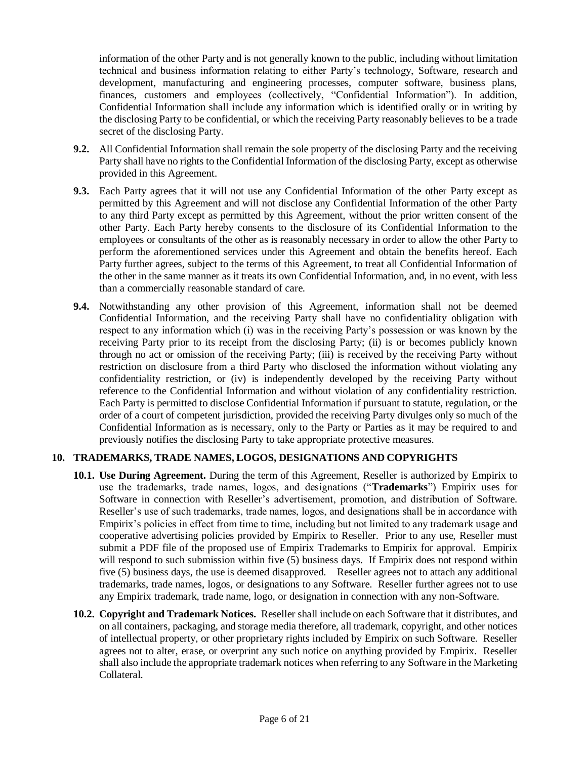information of the other Party and is not generally known to the public, including without limitation technical and business information relating to either Party's technology, Software, research and development, manufacturing and engineering processes, computer software, business plans, finances, customers and employees (collectively, "Confidential Information"). In addition, Confidential Information shall include any information which is identified orally or in writing by the disclosing Party to be confidential, or which the receiving Party reasonably believes to be a trade secret of the disclosing Party.

- **9.2.** All Confidential Information shall remain the sole property of the disclosing Party and the receiving Party shall have no rights to the Confidential Information of the disclosing Party, except as otherwise provided in this Agreement.
- **9.3.** Each Party agrees that it will not use any Confidential Information of the other Party except as permitted by this Agreement and will not disclose any Confidential Information of the other Party to any third Party except as permitted by this Agreement, without the prior written consent of the other Party. Each Party hereby consents to the disclosure of its Confidential Information to the employees or consultants of the other as is reasonably necessary in order to allow the other Party to perform the aforementioned services under this Agreement and obtain the benefits hereof. Each Party further agrees, subject to the terms of this Agreement, to treat all Confidential Information of the other in the same manner as it treats its own Confidential Information, and, in no event, with less than a commercially reasonable standard of care.
- **9.4.** Notwithstanding any other provision of this Agreement, information shall not be deemed Confidential Information, and the receiving Party shall have no confidentiality obligation with respect to any information which (i) was in the receiving Party's possession or was known by the receiving Party prior to its receipt from the disclosing Party; (ii) is or becomes publicly known through no act or omission of the receiving Party; (iii) is received by the receiving Party without restriction on disclosure from a third Party who disclosed the information without violating any confidentiality restriction, or (iv) is independently developed by the receiving Party without reference to the Confidential Information and without violation of any confidentiality restriction. Each Party is permitted to disclose Confidential Information if pursuant to statute, regulation, or the order of a court of competent jurisdiction, provided the receiving Party divulges only so much of the Confidential Information as is necessary, only to the Party or Parties as it may be required to and previously notifies the disclosing Party to take appropriate protective measures.

#### **10. TRADEMARKS, TRADE NAMES, LOGOS, DESIGNATIONS AND COPYRIGHTS**

- **10.1. Use During Agreement.** During the term of this Agreement, Reseller is authorized by Empirix to use the trademarks, trade names, logos, and designations ("**Trademarks**") Empirix uses for Software in connection with Reseller's advertisement, promotion, and distribution of Software. Reseller's use of such trademarks, trade names, logos, and designations shall be in accordance with Empirix's policies in effect from time to time, including but not limited to any trademark usage and cooperative advertising policies provided by Empirix to Reseller. Prior to any use, Reseller must submit a PDF file of the proposed use of Empirix Trademarks to Empirix for approval. Empirix will respond to such submission within five (5) business days. If Empirix does not respond within five (5) business days, the use is deemed disapproved. Reseller agrees not to attach any additional trademarks, trade names, logos, or designations to any Software. Reseller further agrees not to use any Empirix trademark, trade name, logo, or designation in connection with any non-Software.
- **10.2. Copyright and Trademark Notices.** Reseller shall include on each Software that it distributes, and on all containers, packaging, and storage media therefore, all trademark, copyright, and other notices of intellectual property, or other proprietary rights included by Empirix on such Software. Reseller agrees not to alter, erase, or overprint any such notice on anything provided by Empirix. Reseller shall also include the appropriate trademark notices when referring to any Software in the Marketing Collateral.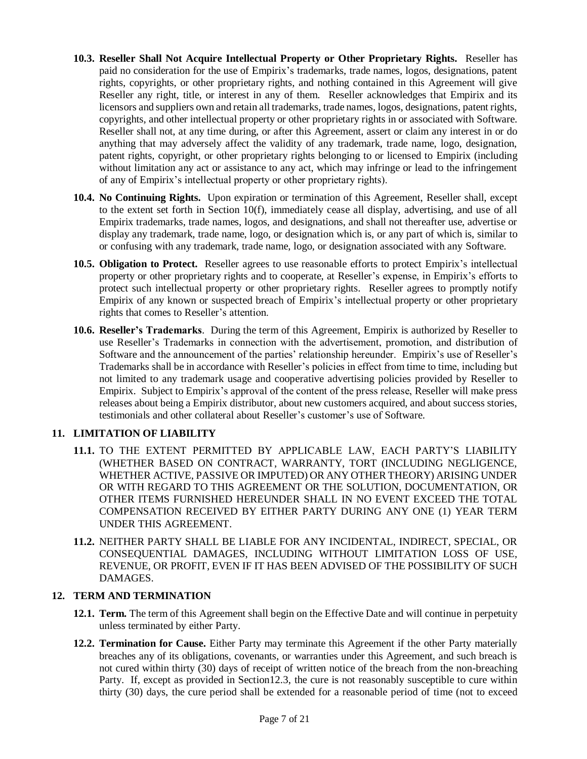- **10.3. Reseller Shall Not Acquire Intellectual Property or Other Proprietary Rights.** Reseller has paid no consideration for the use of Empirix's trademarks, trade names, logos, designations, patent rights, copyrights, or other proprietary rights, and nothing contained in this Agreement will give Reseller any right, title, or interest in any of them. Reseller acknowledges that Empirix and its licensors and suppliers own and retain all trademarks, trade names, logos, designations, patent rights, copyrights, and other intellectual property or other proprietary rights in or associated with Software. Reseller shall not, at any time during, or after this Agreement, assert or claim any interest in or do anything that may adversely affect the validity of any trademark, trade name, logo, designation, patent rights, copyright, or other proprietary rights belonging to or licensed to Empirix (including without limitation any act or assistance to any act, which may infringe or lead to the infringement of any of Empirix's intellectual property or other proprietary rights).
- **10.4. No Continuing Rights.** Upon expiration or termination of this Agreement, Reseller shall, except to the extent set forth in Section 10(f), immediately cease all display, advertising, and use of all Empirix trademarks, trade names, logos, and designations, and shall not thereafter use, advertise or display any trademark, trade name, logo, or designation which is, or any part of which is, similar to or confusing with any trademark, trade name, logo, or designation associated with any Software.
- **10.5. Obligation to Protect.** Reseller agrees to use reasonable efforts to protect Empirix's intellectual property or other proprietary rights and to cooperate, at Reseller's expense, in Empirix's efforts to protect such intellectual property or other proprietary rights. Reseller agrees to promptly notify Empirix of any known or suspected breach of Empirix's intellectual property or other proprietary rights that comes to Reseller's attention.
- **10.6. Reseller's Trademarks**. During the term of this Agreement, Empirix is authorized by Reseller to use Reseller's Trademarks in connection with the advertisement, promotion, and distribution of Software and the announcement of the parties' relationship hereunder. Empirix's use of Reseller's Trademarks shall be in accordance with Reseller's policies in effect from time to time, including but not limited to any trademark usage and cooperative advertising policies provided by Reseller to Empirix. Subject to Empirix's approval of the content of the press release, Reseller will make press releases about being a Empirix distributor, about new customers acquired, and about success stories, testimonials and other collateral about Reseller's customer's use of Software.

#### **11. LIMITATION OF LIABILITY**

- **11.1.** TO THE EXTENT PERMITTED BY APPLICABLE LAW, EACH PARTY'S LIABILITY (WHETHER BASED ON CONTRACT, WARRANTY, TORT (INCLUDING NEGLIGENCE, WHETHER ACTIVE, PASSIVE OR IMPUTED) OR ANY OTHER THEORY) ARISING UNDER OR WITH REGARD TO THIS AGREEMENT OR THE SOLUTION, DOCUMENTATION, OR OTHER ITEMS FURNISHED HEREUNDER SHALL IN NO EVENT EXCEED THE TOTAL COMPENSATION RECEIVED BY EITHER PARTY DURING ANY ONE (1) YEAR TERM UNDER THIS AGREEMENT.
- **11.2.** NEITHER PARTY SHALL BE LIABLE FOR ANY INCIDENTAL, INDIRECT, SPECIAL, OR CONSEQUENTIAL DAMAGES, INCLUDING WITHOUT LIMITATION LOSS OF USE, REVENUE, OR PROFIT, EVEN IF IT HAS BEEN ADVISED OF THE POSSIBILITY OF SUCH DAMAGES.

## **12. TERM AND TERMINATION**

- **12.1. Term.** The term of this Agreement shall begin on the Effective Date and will continue in perpetuity unless terminated by either Party.
- **12.2. Termination for Cause.** Either Party may terminate this Agreement if the other Party materially breaches any of its obligations, covenants, or warranties under this Agreement, and such breach is not cured within thirty (30) days of receipt of written notice of the breach from the non-breaching Party. If, except as provided in Section12.3, the cure is not reasonably susceptible to cure within thirty (30) days, the cure period shall be extended for a reasonable period of time (not to exceed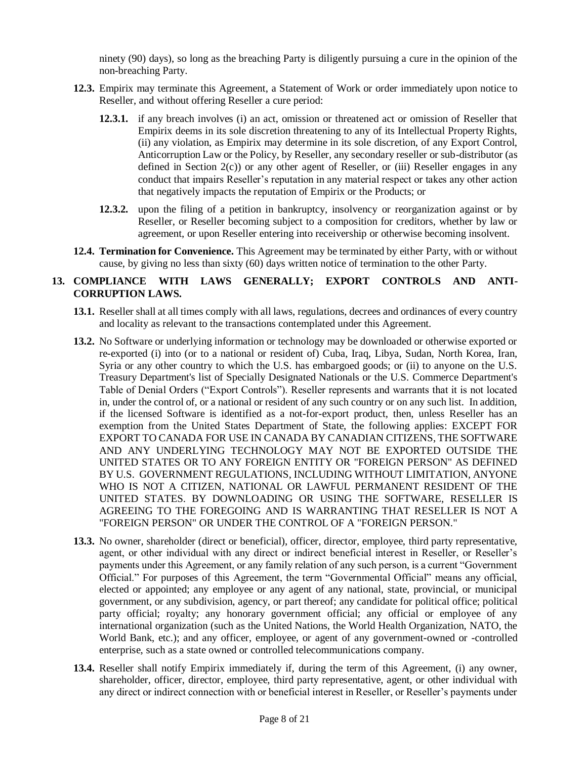ninety (90) days), so long as the breaching Party is diligently pursuing a cure in the opinion of the non-breaching Party.

- **12.3.** Empirix may terminate this Agreement, a Statement of Work or order immediately upon notice to Reseller, and without offering Reseller a cure period:
	- **12.3.1.** if any breach involves (i) an act, omission or threatened act or omission of Reseller that Empirix deems in its sole discretion threatening to any of its Intellectual Property Rights, (ii) any violation, as Empirix may determine in its sole discretion, of any Export Control, Anticorruption Law or the Policy, by Reseller, any secondary reseller or sub-distributor (as defined in Section  $2(c)$ ) or any other agent of Reseller, or (iii) Reseller engages in any conduct that impairs Reseller's reputation in any material respect or takes any other action that negatively impacts the reputation of Empirix or the Products; or
	- **12.3.2.** upon the filing of a petition in bankruptcy, insolvency or reorganization against or by Reseller, or Reseller becoming subject to a composition for creditors, whether by law or agreement, or upon Reseller entering into receivership or otherwise becoming insolvent.
- **12.4. Termination for Convenience.** This Agreement may be terminated by either Party, with or without cause, by giving no less than sixty (60) days written notice of termination to the other Party.

## **13. COMPLIANCE WITH LAWS GENERALLY; EXPORT CONTROLS AND ANTI-CORRUPTION LAWS.**

- **13.1.** Reseller shall at all times comply with all laws, regulations, decrees and ordinances of every country and locality as relevant to the transactions contemplated under this Agreement.
- **13.2.** No Software or underlying information or technology may be downloaded or otherwise exported or re-exported (i) into (or to a national or resident of) Cuba, Iraq, Libya, Sudan, North Korea, Iran, Syria or any other country to which the U.S. has embargoed goods; or (ii) to anyone on the U.S. Treasury Department's list of Specially Designated Nationals or the U.S. Commerce Department's Table of Denial Orders ("Export Controls"). Reseller represents and warrants that it is not located in, under the control of, or a national or resident of any such country or on any such list. In addition, if the licensed Software is identified as a not-for-export product, then, unless Reseller has an exemption from the United States Department of State, the following applies: EXCEPT FOR EXPORT TO CANADA FOR USE IN CANADA BY CANADIAN CITIZENS, THE SOFTWARE AND ANY UNDERLYING TECHNOLOGY MAY NOT BE EXPORTED OUTSIDE THE UNITED STATES OR TO ANY FOREIGN ENTITY OR "FOREIGN PERSON" AS DEFINED BY U.S. GOVERNMENT REGULATIONS, INCLUDING WITHOUT LIMITATION, ANYONE WHO IS NOT A CITIZEN, NATIONAL OR LAWFUL PERMANENT RESIDENT OF THE UNITED STATES. BY DOWNLOADING OR USING THE SOFTWARE, RESELLER IS AGREEING TO THE FOREGOING AND IS WARRANTING THAT RESELLER IS NOT A "FOREIGN PERSON" OR UNDER THE CONTROL OF A "FOREIGN PERSON."
- **13.3.** No owner, shareholder (direct or beneficial), officer, director, employee, third party representative, agent, or other individual with any direct or indirect beneficial interest in Reseller, or Reseller's payments under this Agreement, or any family relation of any such person, is a current "Government Official." For purposes of this Agreement, the term "Governmental Official" means any official, elected or appointed; any employee or any agent of any national, state, provincial, or municipal government, or any subdivision, agency, or part thereof; any candidate for political office; political party official; royalty; any honorary government official; any official or employee of any international organization (such as the United Nations, the World Health Organization, NATO, the World Bank, etc.); and any officer, employee, or agent of any government-owned or -controlled enterprise, such as a state owned or controlled telecommunications company.
- **13.4.** Reseller shall notify Empirix immediately if, during the term of this Agreement, (i) any owner, shareholder, officer, director, employee, third party representative, agent, or other individual with any direct or indirect connection with or beneficial interest in Reseller, or Reseller's payments under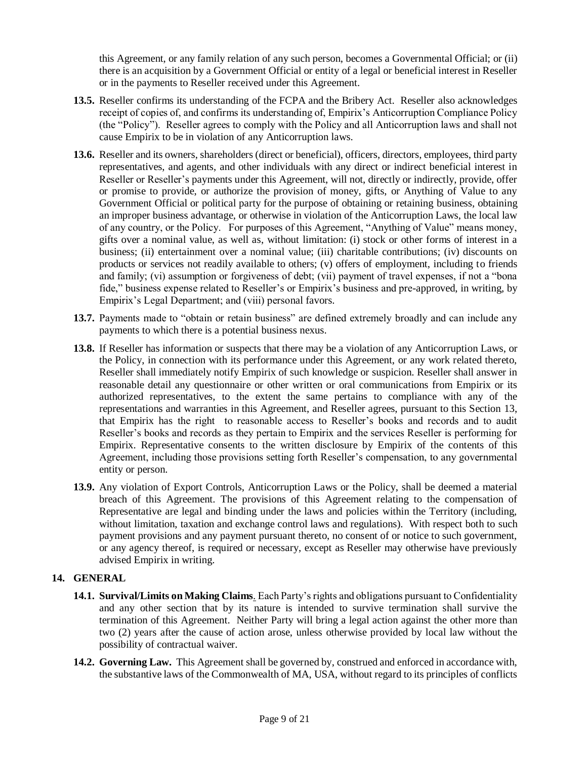this Agreement, or any family relation of any such person, becomes a Governmental Official; or (ii) there is an acquisition by a Government Official or entity of a legal or beneficial interest in Reseller or in the payments to Reseller received under this Agreement.

- **13.5.** Reseller confirms its understanding of the FCPA and the Bribery Act. Reseller also acknowledges receipt of copies of, and confirms its understanding of, Empirix's Anticorruption Compliance Policy (the "Policy"). Reseller agrees to comply with the Policy and all Anticorruption laws and shall not cause Empirix to be in violation of any Anticorruption laws.
- **13.6.** Reseller and its owners, shareholders (direct or beneficial), officers, directors, employees, third party representatives, and agents, and other individuals with any direct or indirect beneficial interest in Reseller or Reseller's payments under this Agreement, will not, directly or indirectly, provide, offer or promise to provide, or authorize the provision of money, gifts, or Anything of Value to any Government Official or political party for the purpose of obtaining or retaining business, obtaining an improper business advantage, or otherwise in violation of the Anticorruption Laws, the local law of any country, or the Policy. For purposes of this Agreement, "Anything of Value" means money, gifts over a nominal value, as well as, without limitation: (i) stock or other forms of interest in a business; (ii) entertainment over a nominal value; (iii) charitable contributions; (iv) discounts on products or services not readily available to others; (v) offers of employment, including to friends and family; (vi) assumption or forgiveness of debt; (vii) payment of travel expenses, if not a "bona fide," business expense related to Reseller's or Empirix's business and pre-approved, in writing, by Empirix's Legal Department; and (viii) personal favors.
- **13.7.** Payments made to "obtain or retain business" are defined extremely broadly and can include any payments to which there is a potential business nexus.
- **13.8.** If Reseller has information or suspects that there may be a violation of any Anticorruption Laws, or the Policy, in connection with its performance under this Agreement, or any work related thereto, Reseller shall immediately notify Empirix of such knowledge or suspicion. Reseller shall answer in reasonable detail any questionnaire or other written or oral communications from Empirix or its authorized representatives, to the extent the same pertains to compliance with any of the representations and warranties in this Agreement, and Reseller agrees, pursuant to this Section 13, that Empirix has the right to reasonable access to Reseller's books and records and to audit Reseller's books and records as they pertain to Empirix and the services Reseller is performing for Empirix. Representative consents to the written disclosure by Empirix of the contents of this Agreement, including those provisions setting forth Reseller's compensation, to any governmental entity or person.
- **13.9.** Any violation of Export Controls, Anticorruption Laws or the Policy, shall be deemed a material breach of this Agreement. The provisions of this Agreement relating to the compensation of Representative are legal and binding under the laws and policies within the Territory (including, without limitation, taxation and exchange control laws and regulations). With respect both to such payment provisions and any payment pursuant thereto, no consent of or notice to such government, or any agency thereof, is required or necessary, except as Reseller may otherwise have previously advised Empirix in writing.

#### **14. GENERAL**

- **14.1. Survival/Limits on Making Claims**. Each Party's rights and obligations pursuant to Confidentiality and any other section that by its nature is intended to survive termination shall survive the termination of this Agreement. Neither Party will bring a legal action against the other more than two (2) years after the cause of action arose, unless otherwise provided by local law without the possibility of contractual waiver.
- **14.2. Governing Law.** This Agreement shall be governed by, construed and enforced in accordance with, the substantive laws of the Commonwealth of MA, USA, without regard to its principles of conflicts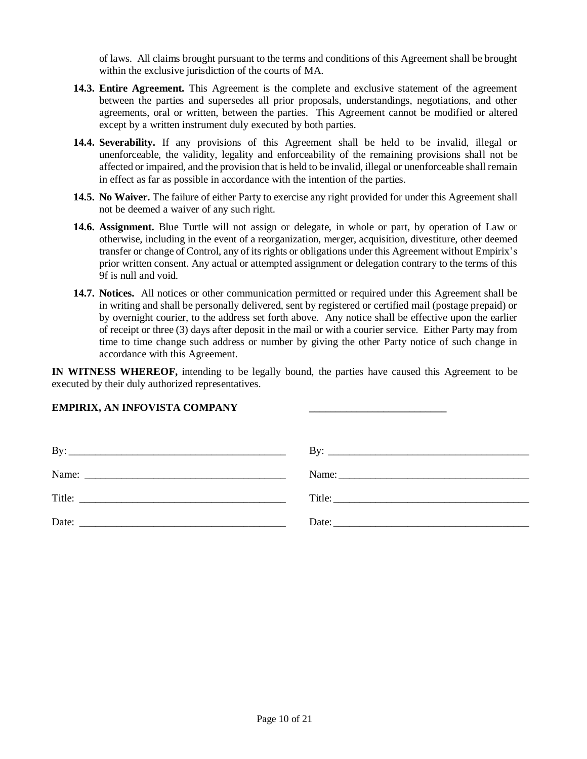of laws. All claims brought pursuant to the terms and conditions of this Agreement shall be brought within the exclusive jurisdiction of the courts of MA.

- **14.3. Entire Agreement.** This Agreement is the complete and exclusive statement of the agreement between the parties and supersedes all prior proposals, understandings, negotiations, and other agreements, oral or written, between the parties. This Agreement cannot be modified or altered except by a written instrument duly executed by both parties.
- **14.4. Severability.** If any provisions of this Agreement shall be held to be invalid, illegal or unenforceable, the validity, legality and enforceability of the remaining provisions shall not be affected or impaired, and the provision that is held to be invalid, illegal or unenforceable shall remain in effect as far as possible in accordance with the intention of the parties.
- **14.5. No Waiver.** The failure of either Party to exercise any right provided for under this Agreement shall not be deemed a waiver of any such right.
- **14.6. Assignment.** Blue Turtle will not assign or delegate, in whole or part, by operation of Law or otherwise, including in the event of a reorganization, merger, acquisition, divestiture, other deemed transfer or change of Control, any of its rights or obligations under this Agreement without Empirix's prior written consent. Any actual or attempted assignment or delegation contrary to the terms of this 9f is null and void.
- **14.7. Notices.** All notices or other communication permitted or required under this Agreement shall be in writing and shall be personally delivered, sent by registered or certified mail (postage prepaid) or by overnight courier, to the address set forth above. Any notice shall be effective upon the earlier of receipt or three (3) days after deposit in the mail or with a courier service. Either Party may from time to time change such address or number by giving the other Party notice of such change in accordance with this Agreement.

**IN WITNESS WHEREOF,** intending to be legally bound, the parties have caused this Agreement to be executed by their duly authorized representatives.

#### **EMPIRIX, AN INFOVISTA COMPANY \_\_\_\_\_\_\_\_\_\_\_\_\_\_\_\_\_\_\_\_\_\_\_\_\_\_**

| Title: |  |
|--------|--|
| Date:  |  |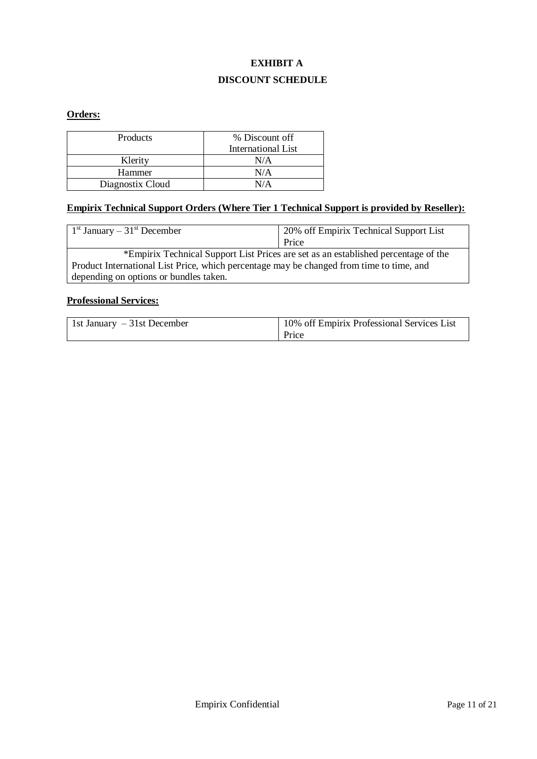# **EXHIBIT A DISCOUNT SCHEDULE**

## **Orders:**

| Products         | % Discount off     |
|------------------|--------------------|
|                  | International List |
| Klerity          | N/A                |
| Hammer           | N/A                |
| Diagnostix Cloud | N/A                |

## **Empirix Technical Support Orders (Where Tier 1 Technical Support is provided by Reseller):**

| $1st$ January – 31 <sup>st</sup> December                                                | 20% off Empirix Technical Support List |  |
|------------------------------------------------------------------------------------------|----------------------------------------|--|
|                                                                                          | Price                                  |  |
| *Empirix Technical Support List Prices are set as an established percentage of the       |                                        |  |
| Product International List Price, which percentage may be changed from time to time, and |                                        |  |
| depending on options or bundles taken.                                                   |                                        |  |

## **Professional Services:**

| 1st January $-31$ st December | <sup>1</sup> 10% off Empirix Professional Services List |
|-------------------------------|---------------------------------------------------------|
|                               | Price                                                   |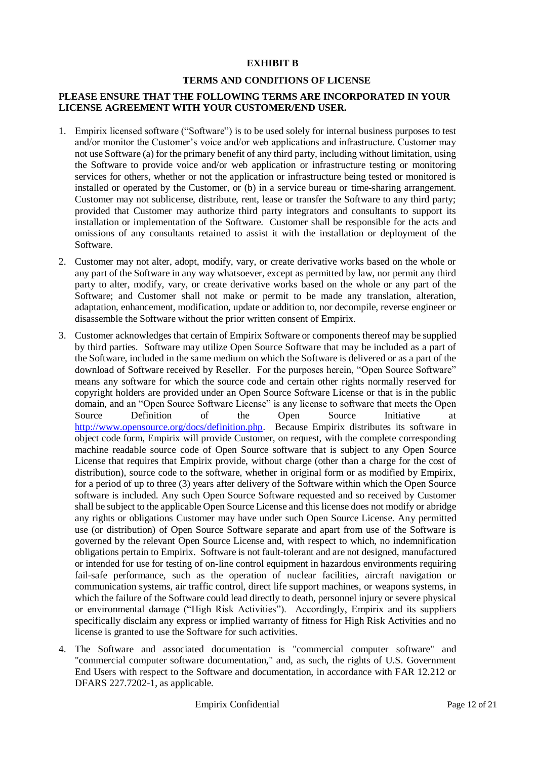#### **EXHIBIT B**

#### **TERMS AND CONDITIONS OF LICENSE**

## **PLEASE ENSURE THAT THE FOLLOWING TERMS ARE INCORPORATED IN YOUR LICENSE AGREEMENT WITH YOUR CUSTOMER/END USER.**

- 1. Empirix licensed software ("Software") is to be used solely for internal business purposes to test and/or monitor the Customer's voice and/or web applications and infrastructure. Customer may not use Software (a) for the primary benefit of any third party, including without limitation, using the Software to provide voice and/or web application or infrastructure testing or monitoring services for others, whether or not the application or infrastructure being tested or monitored is installed or operated by the Customer, or (b) in a service bureau or time-sharing arrangement. Customer may not sublicense, distribute, rent, lease or transfer the Software to any third party; provided that Customer may authorize third party integrators and consultants to support its installation or implementation of the Software. Customer shall be responsible for the acts and omissions of any consultants retained to assist it with the installation or deployment of the Software.
- 2. Customer may not alter, adopt, modify, vary, or create derivative works based on the whole or any part of the Software in any way whatsoever, except as permitted by law, nor permit any third party to alter, modify, vary, or create derivative works based on the whole or any part of the Software; and Customer shall not make or permit to be made any translation, alteration, adaptation, enhancement, modification, update or addition to, nor decompile, reverse engineer or disassemble the Software without the prior written consent of Empirix.
- 3. Customer acknowledges that certain of Empirix Software or components thereof may be supplied by third parties. Software may utilize Open Source Software that may be included as a part of the Software, included in the same medium on which the Software is delivered or as a part of the download of Software received by Reseller. For the purposes herein, "Open Source Software" means any software for which the source code and certain other rights normally reserved for copyright holders are provided under an Open Source Software License or that is in the public domain, and an "Open Source Software License" is any license to software that meets the Open Source Definition of the Open Source Initiative at [http://www.opensource.org/docs/definition.php.](http://www.opensource.org/docs/definition.php) Because Empirix distributes its software in object code form, Empirix will provide Customer, on request, with the complete corresponding machine readable source code of Open Source software that is subject to any Open Source License that requires that Empirix provide, without charge (other than a charge for the cost of distribution), source code to the software, whether in original form or as modified by Empirix, for a period of up to three (3) years after delivery of the Software within which the Open Source software is included. Any such Open Source Software requested and so received by Customer shall be subject to the applicable Open Source License and this license does not modify or abridge any rights or obligations Customer may have under such Open Source License. Any permitted use (or distribution) of Open Source Software separate and apart from use of the Software is governed by the relevant Open Source License and, with respect to which, no indemnification obligations pertain to Empirix. Software is not fault-tolerant and are not designed, manufactured or intended for use for testing of on-line control equipment in hazardous environments requiring fail-safe performance, such as the operation of nuclear facilities, aircraft navigation or communication systems, air traffic control, direct life support machines, or weapons systems, in which the failure of the Software could lead directly to death, personnel injury or severe physical or environmental damage ("High Risk Activities"). Accordingly, Empirix and its suppliers specifically disclaim any express or implied warranty of fitness for High Risk Activities and no license is granted to use the Software for such activities.
- 4. The Software and associated documentation is "commercial computer software" and "commercial computer software documentation," and, as such, the rights of U.S. Government End Users with respect to the Software and documentation, in accordance with FAR 12.212 or DFARS 227.7202-1, as applicable.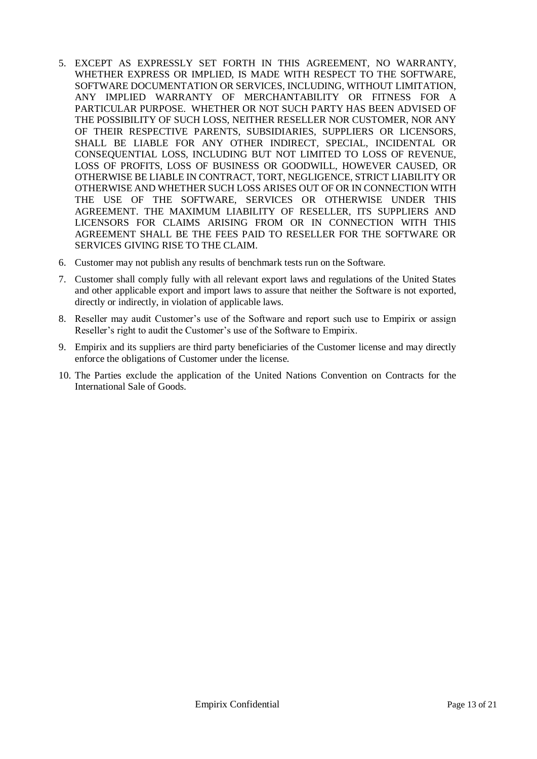- 5. EXCEPT AS EXPRESSLY SET FORTH IN THIS AGREEMENT, NO WARRANTY, WHETHER EXPRESS OR IMPLIED, IS MADE WITH RESPECT TO THE SOFTWARE, SOFTWARE DOCUMENTATION OR SERVICES, INCLUDING, WITHOUT LIMITATION, ANY IMPLIED WARRANTY OF MERCHANTABILITY OR FITNESS FOR A PARTICULAR PURPOSE. WHETHER OR NOT SUCH PARTY HAS BEEN ADVISED OF THE POSSIBILITY OF SUCH LOSS, NEITHER RESELLER NOR CUSTOMER, NOR ANY OF THEIR RESPECTIVE PARENTS, SUBSIDIARIES, SUPPLIERS OR LICENSORS, SHALL BE LIABLE FOR ANY OTHER INDIRECT, SPECIAL, INCIDENTAL OR CONSEQUENTIAL LOSS, INCLUDING BUT NOT LIMITED TO LOSS OF REVENUE, LOSS OF PROFITS, LOSS OF BUSINESS OR GOODWILL, HOWEVER CAUSED, OR OTHERWISE BE LIABLE IN CONTRACT, TORT, NEGLIGENCE, STRICT LIABILITY OR OTHERWISE AND WHETHER SUCH LOSS ARISES OUT OF OR IN CONNECTION WITH THE USE OF THE SOFTWARE, SERVICES OR OTHERWISE UNDER THIS AGREEMENT. THE MAXIMUM LIABILITY OF RESELLER, ITS SUPPLIERS AND LICENSORS FOR CLAIMS ARISING FROM OR IN CONNECTION WITH THIS AGREEMENT SHALL BE THE FEES PAID TO RESELLER FOR THE SOFTWARE OR SERVICES GIVING RISE TO THE CLAIM.
- 6. Customer may not publish any results of benchmark tests run on the Software.
- 7. Customer shall comply fully with all relevant export laws and regulations of the United States and other applicable export and import laws to assure that neither the Software is not exported, directly or indirectly, in violation of applicable laws.
- 8. Reseller may audit Customer's use of the Software and report such use to Empirix or assign Reseller's right to audit the Customer's use of the Software to Empirix.
- 9. Empirix and its suppliers are third party beneficiaries of the Customer license and may directly enforce the obligations of Customer under the license.
- 10. The Parties exclude the application of the United Nations Convention on Contracts for the International Sale of Goods.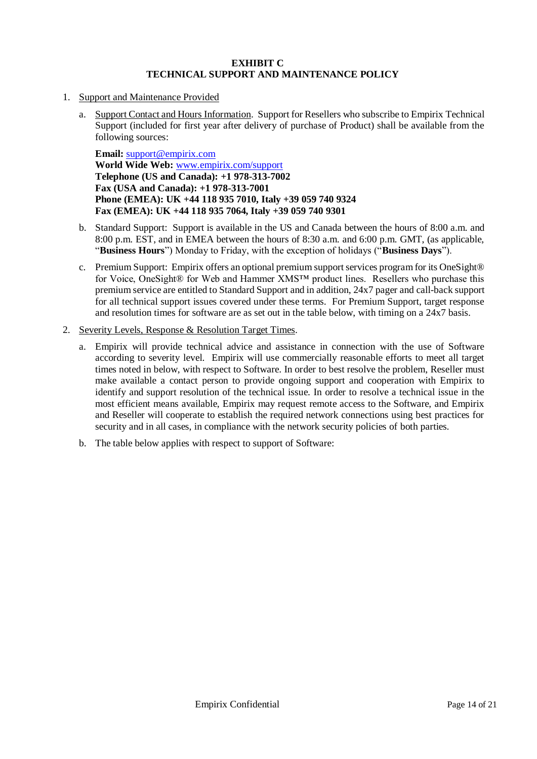#### **EXHIBIT C TECHNICAL SUPPORT AND MAINTENANCE POLICY**

- 1. Support and Maintenance Provided
	- a. Support Contact and Hours Information. Support for Resellers who subscribe to Empirix Technical Support (included for first year after delivery of purchase of Product) shall be available from the following sources:

**Email:** [support@empirix.com](mailto:support@Empirix.com) **World Wide Web:** [www.empirix.com/support](http://www.empirix.com/support) **Telephone (US and Canada): +1 978-313-7002 Fax (USA and Canada): +1 978-313-7001 Phone (EMEA): UK +44 118 935 7010, Italy +39 059 740 9324 Fax (EMEA): UK +44 118 935 7064, Italy +39 059 740 9301**

- b. Standard Support: Support is available in the US and Canada between the hours of 8:00 a.m. and 8:00 p.m. EST, and in EMEA between the hours of 8:30 a.m. and 6:00 p.m. GMT, (as applicable, "**Business Hours**") Monday to Friday, with the exception of holidays ("**Business Days**").
- c. Premium Support: Empirix offers an optional premium support services program for its OneSight® for Voice, OneSight® for Web and Hammer XMS™ product lines. Resellers who purchase this premium service are entitled to Standard Support and in addition, 24x7 pager and call-back support for all technical support issues covered under these terms. For Premium Support, target response and resolution times for software are as set out in the table below, with timing on a 24x7 basis.
- 2. Severity Levels, Response & Resolution Target Times.
	- a. Empirix will provide technical advice and assistance in connection with the use of Software according to severity level. Empirix will use commercially reasonable efforts to meet all target times noted in below, with respect to Software. In order to best resolve the problem, Reseller must make available a contact person to provide ongoing support and cooperation with Empirix to identify and support resolution of the technical issue. In order to resolve a technical issue in the most efficient means available, Empirix may request remote access to the Software, and Empirix and Reseller will cooperate to establish the required network connections using best practices for security and in all cases, in compliance with the network security policies of both parties.
	- b. The table below applies with respect to support of Software: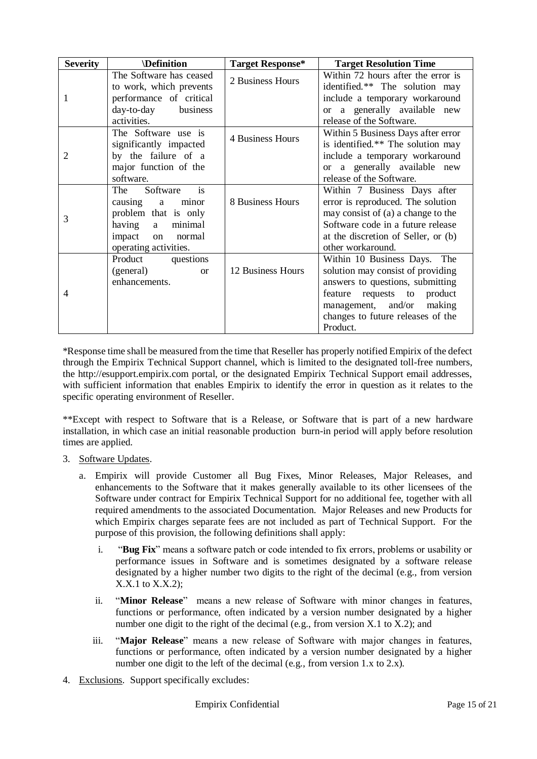| <b>Severity</b> | <i><b>Definition</b></i>                           | <b>Target Response*</b> | <b>Target Resolution Time</b>                                        |
|-----------------|----------------------------------------------------|-------------------------|----------------------------------------------------------------------|
|                 | The Software has ceased<br>to work, which prevents | 2 Business Hours        | Within 72 hours after the error is<br>identified.** The solution may |
|                 | performance of critical                            |                         | include a temporary workaround                                       |
|                 | day-to-day<br>business                             |                         | or a generally available new                                         |
|                 | activities.                                        |                         | release of the Software.                                             |
| 2               | The Software use is                                | 4 Business Hours        | Within 5 Business Days after error                                   |
|                 | significantly impacted                             |                         | is identified.** The solution may                                    |
|                 | by the failure of a                                |                         | include a temporary workaround                                       |
|                 | major function of the                              |                         | or a generally available new                                         |
|                 | software.                                          |                         | release of the Software.                                             |
|                 | i <sub>s</sub><br>Software<br>The                  |                         | Within 7 Business Days after                                         |
|                 | minor<br>causing a                                 | 8 Business Hours        | error is reproduced. The solution                                    |
| 3               | problem that is only                               |                         | may consist of (a) a change to the                                   |
|                 | minimal<br>having a                                |                         | Software code in a future release                                    |
|                 | impact on<br>normal                                |                         | at the discretion of Seller, or (b)                                  |
|                 | operating activities.                              |                         | other workaround.                                                    |
| 4               | Product questions                                  |                         | Within 10 Business Days. The                                         |
|                 | (general)<br><b>or</b>                             | 12 Business Hours       | solution may consist of providing                                    |
|                 | enhancements.                                      |                         | answers to questions, submitting                                     |
|                 |                                                    |                         | feature requests to product                                          |
|                 |                                                    |                         | management, and/or making                                            |
|                 |                                                    |                         | changes to future releases of the                                    |
|                 |                                                    |                         | Product.                                                             |

\*Response time shall be measured from the time that Reseller has properly notified Empirix of the defect through the Empirix Technical Support channel, which is limited to the designated toll-free numbers, the http://esupport.empirix.com portal, or the designated Empirix Technical Support email addresses, with sufficient information that enables Empirix to identify the error in question as it relates to the specific operating environment of Reseller.

\*\*Except with respect to Software that is a Release, or Software that is part of a new hardware installation, in which case an initial reasonable production burn-in period will apply before resolution times are applied.

- 3. Software Updates.
	- a. Empirix will provide Customer all Bug Fixes, Minor Releases, Major Releases, and enhancements to the Software that it makes generally available to its other licensees of the Software under contract for Empirix Technical Support for no additional fee, together with all required amendments to the associated Documentation. Major Releases and new Products for which Empirix charges separate fees are not included as part of Technical Support. For the purpose of this provision, the following definitions shall apply:
		- i. "**Bug Fix**" means a software patch or code intended to fix errors, problems or usability or performance issues in Software and is sometimes designated by a software release designated by a higher number two digits to the right of the decimal (e.g., from version X.X.1 to X.X.2);
		- ii. "**Minor Release**" means a new release of Software with minor changes in features, functions or performance, often indicated by a version number designated by a higher number one digit to the right of the decimal (e.g., from version X.1 to X.2); and
		- iii. "**Major Release**" means a new release of Software with major changes in features, functions or performance, often indicated by a version number designated by a higher number one digit to the left of the decimal (e.g., from version 1.x to 2.x).
- 4. Exclusions. Support specifically excludes: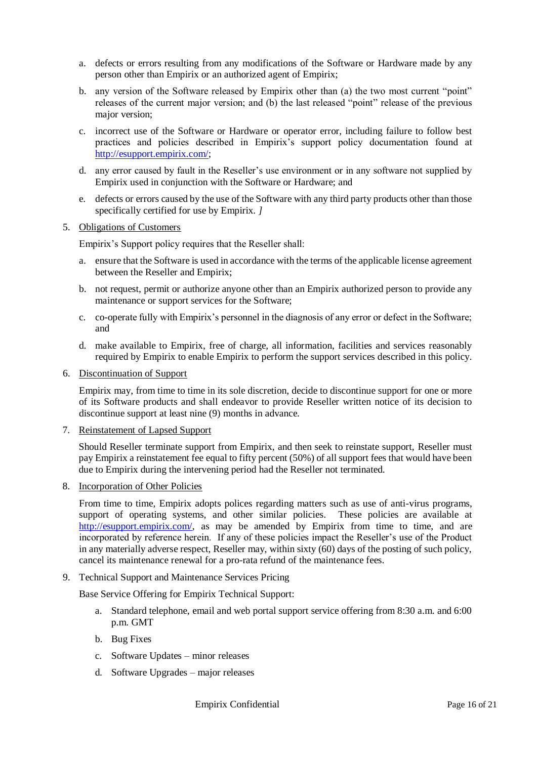- a. defects or errors resulting from any modifications of the Software or Hardware made by any person other than Empirix or an authorized agent of Empirix;
- b. any version of the Software released by Empirix other than (a) the two most current "point" releases of the current major version; and (b) the last released "point" release of the previous major version;
- c. incorrect use of the Software or Hardware or operator error, including failure to follow best practices and policies described in Empirix's support policy documentation found at [http://esupport.empirix.com/;](http://esupport.empirix.com/)
- d. any error caused by fault in the Reseller's use environment or in any software not supplied by Empirix used in conjunction with the Software or Hardware; and
- e. defects or errors caused by the use of the Software with any third party products other than those specifically certified for use by Empirix. *]*
- 5. Obligations of Customers

Empirix's Support policy requires that the Reseller shall:

- a. ensure that the Software is used in accordance with the terms of the applicable license agreement between the Reseller and Empirix;
- b. not request, permit or authorize anyone other than an Empirix authorized person to provide any maintenance or support services for the Software;
- c. co-operate fully with Empirix's personnel in the diagnosis of any error or defect in the Software; and
- d. make available to Empirix, free of charge, all information, facilities and services reasonably required by Empirix to enable Empirix to perform the support services described in this policy.
- 6. Discontinuation of Support

Empirix may, from time to time in its sole discretion, decide to discontinue support for one or more of its Software products and shall endeavor to provide Reseller written notice of its decision to discontinue support at least nine (9) months in advance.

7. Reinstatement of Lapsed Support

Should Reseller terminate support from Empirix, and then seek to reinstate support, Reseller must pay Empirix a reinstatement fee equal to fifty percent (50%) of all support fees that would have been due to Empirix during the intervening period had the Reseller not terminated.

8. Incorporation of Other Policies

From time to time, Empirix adopts polices regarding matters such as use of anti-virus programs, support of operating systems, and other similar policies. These policies are available at [http://esupport.empirix.com/,](http://esupport.empirix.com/) as may be amended by Empirix from time to time, and are incorporated by reference herein. If any of these policies impact the Reseller's use of the Product in any materially adverse respect, Reseller may, within sixty (60) days of the posting of such policy, cancel its maintenance renewal for a pro-rata refund of the maintenance fees.

9. Technical Support and Maintenance Services Pricing

Base Service Offering for Empirix Technical Support:

- a. Standard telephone, email and web portal support service offering from 8:30 a.m. and 6:00 p.m. GMT
- b. Bug Fixes
- c. Software Updates minor releases
- d. Software Upgrades major releases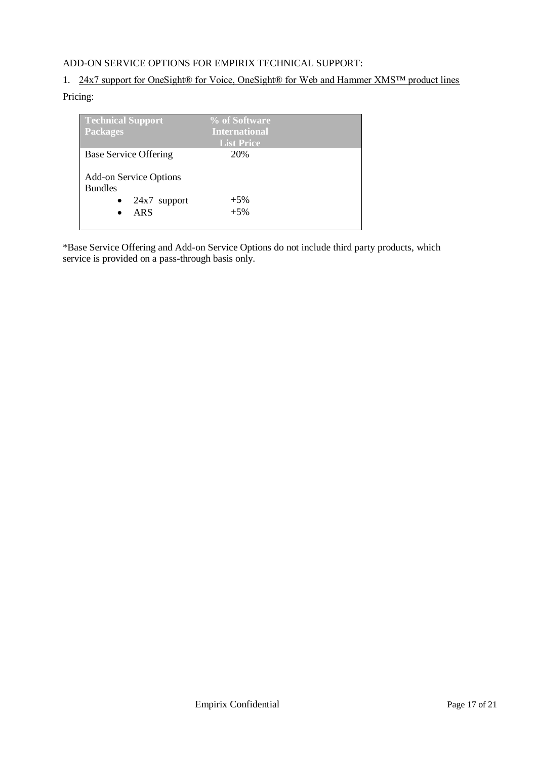## ADD-ON SERVICE OPTIONS FOR EMPIRIX TECHNICAL SUPPORT:

## 1. 24x7 support for OneSight® for Voice, OneSight® for Web and Hammer XMS™ product lines

## Pricing:

| Technical Support<br><b>Packages</b>                              | % of Software<br><b>International</b> |  |
|-------------------------------------------------------------------|---------------------------------------|--|
|                                                                   | <b>List Price</b>                     |  |
| <b>Base Service Offering</b>                                      | 20%                                   |  |
| <b>Add-on Service Options</b><br><b>Bundles</b><br>$24x7$ support | $+5%$                                 |  |
| <b>ARS</b>                                                        | $+5%$                                 |  |

\*Base Service Offering and Add-on Service Options do not include third party products, which service is provided on a pass-through basis only.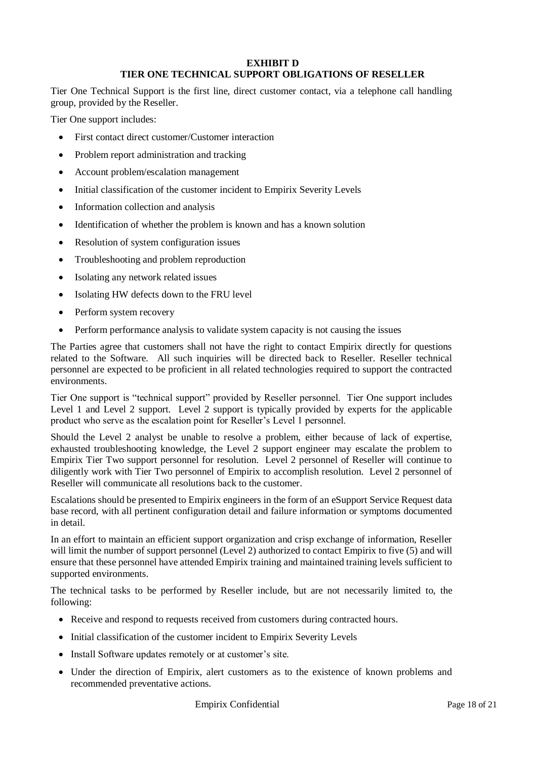#### **EXHIBIT D TIER ONE TECHNICAL SUPPORT OBLIGATIONS OF RESELLER**

Tier One Technical Support is the first line, direct customer contact, via a telephone call handling group, provided by the Reseller.

Tier One support includes:

- First contact direct customer/Customer interaction
- Problem report administration and tracking
- Account problem/escalation management
- Initial classification of the customer incident to Empirix Severity Levels
- Information collection and analysis
- Identification of whether the problem is known and has a known solution
- Resolution of system configuration issues
- Troubleshooting and problem reproduction
- Isolating any network related issues
- Isolating HW defects down to the FRU level
- Perform system recovery
- Perform performance analysis to validate system capacity is not causing the issues

The Parties agree that customers shall not have the right to contact Empirix directly for questions related to the Software. All such inquiries will be directed back to Reseller. Reseller technical personnel are expected to be proficient in all related technologies required to support the contracted environments.

Tier One support is "technical support" provided by Reseller personnel. Tier One support includes Level 1 and Level 2 support. Level 2 support is typically provided by experts for the applicable product who serve as the escalation point for Reseller's Level 1 personnel.

Should the Level 2 analyst be unable to resolve a problem, either because of lack of expertise, exhausted troubleshooting knowledge, the Level 2 support engineer may escalate the problem to Empirix Tier Two support personnel for resolution. Level 2 personnel of Reseller will continue to diligently work with Tier Two personnel of Empirix to accomplish resolution. Level 2 personnel of Reseller will communicate all resolutions back to the customer.

Escalations should be presented to Empirix engineers in the form of an eSupport Service Request data base record, with all pertinent configuration detail and failure information or symptoms documented in detail.

In an effort to maintain an efficient support organization and crisp exchange of information, Reseller will limit the number of support personnel (Level 2) authorized to contact Empirix to five (5) and will ensure that these personnel have attended Empirix training and maintained training levels sufficient to supported environments.

The technical tasks to be performed by Reseller include, but are not necessarily limited to, the following:

- Receive and respond to requests received from customers during contracted hours.
- Initial classification of the customer incident to Empirix Severity Levels
- Install Software updates remotely or at customer's site.
- Under the direction of Empirix, alert customers as to the existence of known problems and recommended preventative actions.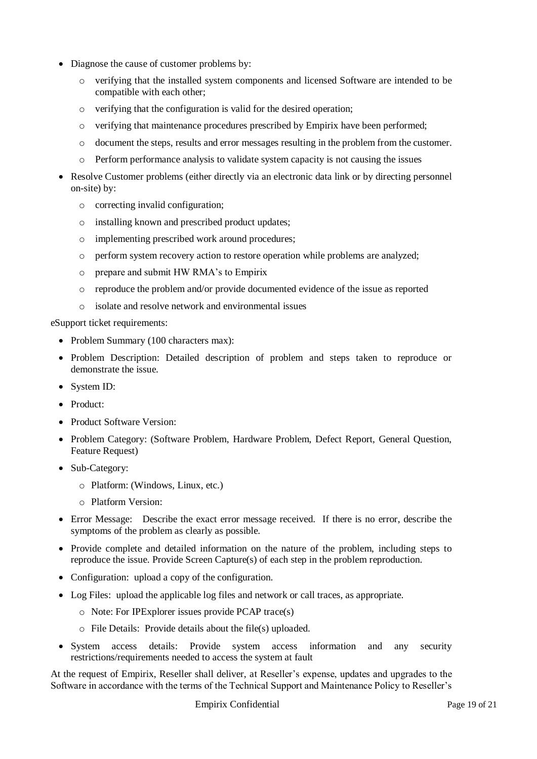- Diagnose the cause of customer problems by:
	- o verifying that the installed system components and licensed Software are intended to be compatible with each other;
	- o verifying that the configuration is valid for the desired operation;
	- o verifying that maintenance procedures prescribed by Empirix have been performed;
	- o document the steps, results and error messages resulting in the problem from the customer.
	- o Perform performance analysis to validate system capacity is not causing the issues
- Resolve Customer problems (either directly via an electronic data link or by directing personnel on-site) by:
	- o correcting invalid configuration;
	- o installing known and prescribed product updates;
	- o implementing prescribed work around procedures;
	- o perform system recovery action to restore operation while problems are analyzed;
	- o prepare and submit HW RMA's to Empirix
	- o reproduce the problem and/or provide documented evidence of the issue as reported
	- o isolate and resolve network and environmental issues

eSupport ticket requirements:

- Problem Summary (100 characters max):
- Problem Description: Detailed description of problem and steps taken to reproduce or demonstrate the issue.
- System ID:
- Product:
- Product Software Version:
- Problem Category: (Software Problem, Hardware Problem, Defect Report, General Question, Feature Request)
- Sub-Category:
	- o Platform: (Windows, Linux, etc.)
	- o Platform Version:
- Error Message: Describe the exact error message received. If there is no error, describe the symptoms of the problem as clearly as possible.
- Provide complete and detailed information on the nature of the problem, including steps to reproduce the issue. Provide Screen Capture(s) of each step in the problem reproduction.
- Configuration: upload a copy of the configuration.
- Log Files: upload the applicable log files and network or call traces, as appropriate.
	- o Note: For IPExplorer issues provide PCAP trace(s)
	- o File Details: Provide details about the file(s) uploaded.
- System access details: Provide system access information and any security restrictions/requirements needed to access the system at fault

At the request of Empirix, Reseller shall deliver, at Reseller's expense, updates and upgrades to the Software in accordance with the terms of the Technical Support and Maintenance Policy to Reseller's

Empirix Confidential Page 19 of 21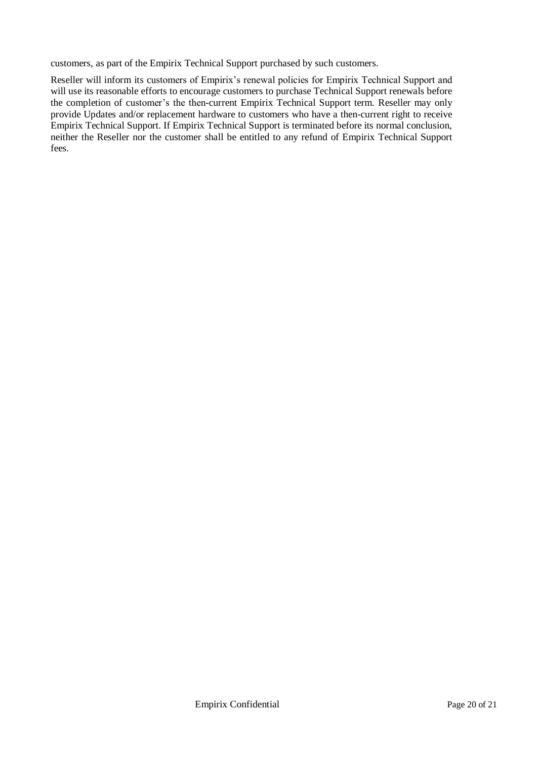customers, as part of the Empirix Technical Support purchased by such customers.

Reseller will inform its customers of Empirix's renewal policies for Empirix Technical Support and will use its reasonable efforts to encourage customers to purchase Technical Support renewals before the completion of customer's the then-current Empirix Technical Support term. Reseller may only provide Updates and/or replacement hardware to customers who have a then-current right to receive Empirix Technical Support. If Empirix Technical Support is terminated before its normal conclusion, neither the Reseller nor the customer shall be entitled to any refund of Empirix Technical Support fees.